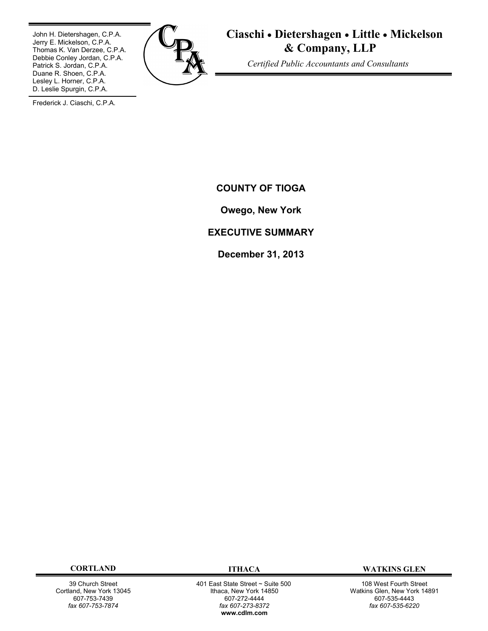John H. Dietershagen, C.P.A. Jerry E. Mickelson, C.P.A. Thomas K. Van Derzee, C.P.A. Debbie Conley Jordan, C.P.A. Patrick S. Jordan, C.P.A. Duane R. Shoen, C.P.A. Lesley L. Horner, C.P.A. D. Leslie Spurgin, C.P.A.



**Ciaschi Dietershagen Little Mickelson & Company, LLP**

 *Certified Public Accountants and Consultants*

Frederick J. Ciaschi, C.P.A.

**COUNTY OF TIOGA**

**Owego, New York**

# **EXECUTIVE SUMMARY**

**December 31, 2013**

39 Church Street Cortland, New York 13045 607-753-7439 *fax 607-753-7874*

 401 East State Street ~ Suite 500 Ithaca, New York 14850 607-272-4444 *fax 607-273-8372* **www.cdlm.com**

**CORTLAND ITHACA WATKINS GLEN**

108 West Fourth Street Watkins Glen, New York 14891 607-535-4443 *fax 607-535-6220*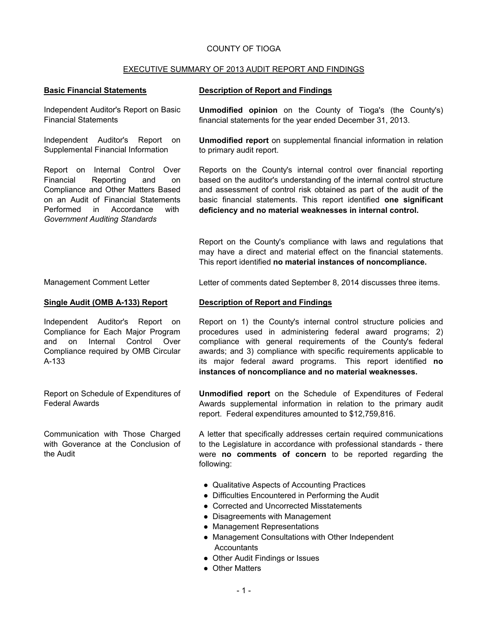## COUNTY OF TIOGA

## EXECUTIVE SUMMARY OF 2013 AUDIT REPORT AND FINDINGS

## **Basic Financial Statements Description of Report and Findings**

Independent Auditor's Report on Basic Financial Statements

Independent Auditor's Report on Supplemental Financial Information

Report on Internal Control Over Financial Reporting and on Compliance and Other Matters Based on an Audit of Financial Statements Performed in Accordance with *Government Auditing Standards*

**Unmodified opinion** on the County of Tioga's (the County's) financial statements for the year ended December 31, 2013.

**Unmodified report** on supplemental financial information in relation to primary audit report.

Reports on the County's internal control over financial reporting based on the auditor's understanding of the internal control structure and assessment of control risk obtained as part of the audit of the basic financial statements. This report identified **one significant deficiency and no material weaknesses in internal control.**

Report on the County's compliance with laws and regulations that may have a direct and material effect on the financial statements. This report identified **no material instances of noncompliance.**

Management Comment Letter Letter Letter of comments dated September 8, 2014 discusses three items.

## **Single Audit (OMB A-133) Report Description of Report and Findings**

Independent Auditor's Report on Compliance for Each Major Program and on Internal Control Over Compliance required by OMB Circular A-133

Report on Schedule of Expenditures of Federal Awards

Communication with Those Charged with Goverance at the Conclusion of the Audit

Report on 1) the County's internal control structure policies and procedures used in administering federal award programs; 2) compliance with general requirements of the County's federal awards; and 3) compliance with specific requirements applicable to its major federal award programs. This report identified **no instances of noncompliance and no material weaknesses.**

**Unmodified report** on the Schedule of Expenditures of Federal Awards supplemental information in relation to the primary audit report. Federal expenditures amounted to \$12,759,816.

A letter that specifically addresses certain required communications to the Legislature in accordance with professional standards - there were **no comments of concern** to be reported regarding the following:

- Qualitative Aspects of Accounting Practices
- Difficulties Encountered in Performing the Audit
- Corrected and Uncorrected Misstatements
- Disagreements with Management
- Management Representations
- Management Consultations with Other Independent **Accountants**
- Other Audit Findings or Issues
- Other Matters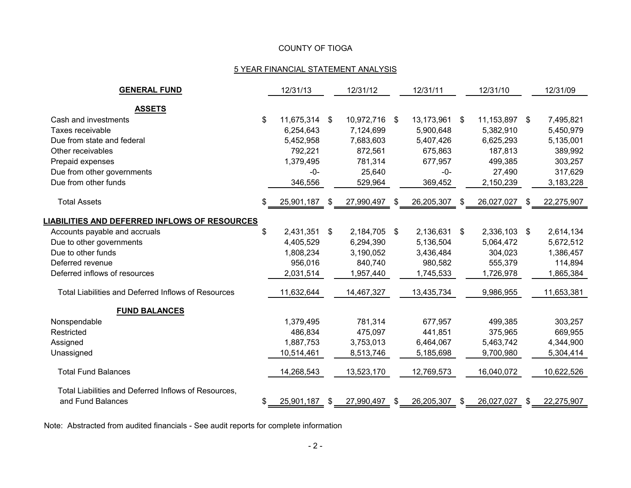# COUNTY OF TIOGA

# 5 YEAR FINANCIAL STATEMENT ANALYSIS

| <b>GENERAL FUND</b>                                        | 12/31/13         |    | 12/31/12   |      | 12/31/11   |    | 12/31/10   |     | 12/31/09   |
|------------------------------------------------------------|------------------|----|------------|------|------------|----|------------|-----|------------|
| <b>ASSETS</b>                                              |                  |    |            |      |            |    |            |     |            |
| Cash and investments                                       | \$<br>11,675,314 | \$ | 10,972,716 | -\$  | 13,173,961 | \$ | 11,153,897 | -\$ | 7,495,821  |
| Taxes receivable                                           | 6,254,643        |    | 7,124,699  |      | 5,900,648  |    | 5,382,910  |     | 5,450,979  |
| Due from state and federal                                 | 5,452,958        |    | 7,683,603  |      | 5,407,426  |    | 6,625,293  |     | 5,135,001  |
| Other receivables                                          | 792,221          |    | 872,561    |      | 675,863    |    | 187,813    |     | 389,992    |
| Prepaid expenses                                           | 1,379,495        |    | 781,314    |      | 677,957    |    | 499,385    |     | 303,257    |
| Due from other governments                                 | $-0-$            |    | 25,640     |      | $-0-$      |    | 27,490     |     | 317,629    |
| Due from other funds                                       | 346,556          |    | 529,964    |      | 369,452    |    | 2,150,239  |     | 3,183,228  |
| <b>Total Assets</b>                                        | \$<br>25,901,187 | S  | 27,990,497 | S    | 26,205,307 | S  | 26,027,027 | S.  | 22,275,907 |
| <b>LIABILITIES AND DEFERRED INFLOWS OF RESOURCES</b>       |                  |    |            |      |            |    |            |     |            |
| Accounts payable and accruals                              | \$<br>2,431,351  | \$ | 2,184,705  | - \$ | 2,136,631  | \$ | 2,336,103  | -\$ | 2,614,134  |
| Due to other governments                                   | 4,405,529        |    | 6,294,390  |      | 5,136,504  |    | 5,064,472  |     | 5,672,512  |
| Due to other funds                                         | 1,808,234        |    | 3,190,052  |      | 3,436,484  |    | 304,023    |     | 1,386,457  |
| Deferred revenue                                           | 956,016          |    | 840,740    |      | 980,582    |    | 555,379    |     | 114,894    |
| Deferred inflows of resources                              | 2,031,514        |    | 1,957,440  |      | 1,745,533  |    | 1,726,978  |     | 1,865,384  |
| <b>Total Liabilities and Deferred Inflows of Resources</b> | 11,632,644       |    | 14,467,327 |      | 13,435,734 |    | 9,986,955  |     | 11,653,381 |
| <b>FUND BALANCES</b>                                       |                  |    |            |      |            |    |            |     |            |
| Nonspendable                                               | 1,379,495        |    | 781,314    |      | 677,957    |    | 499,385    |     | 303,257    |
| Restricted                                                 | 486,834          |    | 475,097    |      | 441,851    |    | 375,965    |     | 669,955    |
| Assigned                                                   | 1,887,753        |    | 3,753,013  |      | 6,464,067  |    | 5,463,742  |     | 4,344,900  |
| Unassigned                                                 | 10,514,461       |    | 8,513,746  |      | 5,185,698  |    | 9,700,980  |     | 5,304,414  |
| <b>Total Fund Balances</b>                                 | 14,268,543       |    | 13,523,170 |      | 12,769,573 |    | 16,040,072 |     | 10,622,526 |
| Total Liabilities and Deferred Inflows of Resources,       |                  |    |            |      |            |    |            |     |            |
| and Fund Balances                                          | \$<br>25,901,187 | \$ | 27,990,497 | \$   | 26,205,307 | \$ | 26,027,027 | \$  | 22,275,907 |

Note: Abstracted from audited financials - See audit reports for complete information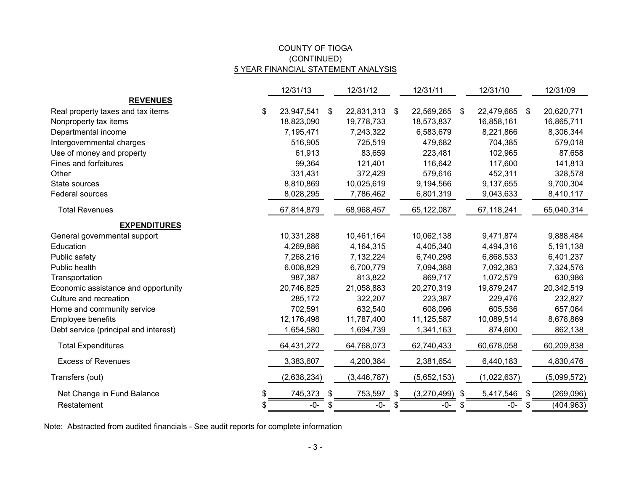# (CONTINUED) COUNTY OF TIOGA 5 YEAR FINANCIAL STATEMENT ANALYSIS

|                                       |    | 12/31/13    |    | 12/31/12      | 12/31/11               |    | 12/31/10      |    | 12/31/09    |
|---------------------------------------|----|-------------|----|---------------|------------------------|----|---------------|----|-------------|
| <b>REVENUES</b>                       |    |             |    |               |                        |    |               |    |             |
| Real property taxes and tax items     | \$ | 23,947,541  | \$ | 22,831,313    | \$<br>22,569,265       | \$ | 22,479,665 \$ |    | 20,620,771  |
| Nonproperty tax items                 |    | 18,823,090  |    | 19,778,733    | 18,573,837             |    | 16,858,161    |    | 16,865,711  |
| Departmental income                   |    | 7,195,471   |    | 7,243,322     | 6,583,679              |    | 8,221,866     |    | 8,306,344   |
| Intergovernmental charges             |    | 516,905     |    | 725,519       | 479,682                |    | 704,385       |    | 579,018     |
| Use of money and property             |    | 61,913      |    | 83,659        | 223,481                |    | 102,965       |    | 87,658      |
| Fines and forfeitures                 |    | 99,364      |    | 121,401       | 116,642                |    | 117,600       |    | 141,813     |
| Other                                 |    | 331,431     |    | 372,429       | 579,616                |    | 452,311       |    | 328,578     |
| State sources                         |    | 8,810,869   |    | 10,025,619    | 9,194,566              |    | 9,137,655     |    | 9,700,304   |
| Federal sources                       |    | 8,028,295   |    | 7,786,462     | 6,801,319              |    | 9,043,633     |    | 8,410,117   |
| <b>Total Revenues</b>                 |    | 67,814,879  |    | 68,968,457    | 65,122,087             |    | 67,118,241    |    | 65,040,314  |
| <b>EXPENDITURES</b>                   |    |             |    |               |                        |    |               |    |             |
| General governmental support          |    | 10,331,288  |    | 10,461,164    | 10,062,138             |    | 9,471,874     |    | 9,888,484   |
| Education                             |    | 4,269,886   |    | 4,164,315     | 4,405,340              |    | 4,494,316     |    | 5,191,138   |
| Public safety                         |    | 7,268,216   |    | 7,132,224     | 6,740,298              |    | 6,868,533     |    | 6,401,237   |
| Public health                         |    | 6,008,829   |    | 6,700,779     | 7,094,388              |    | 7,092,383     |    | 7,324,576   |
| Transportation                        |    | 987,387     |    | 813,822       | 869,717                |    | 1,072,579     |    | 630,986     |
| Economic assistance and opportunity   |    | 20,746,825  |    | 21,058,883    | 20,270,319             |    | 19,879,247    |    | 20,342,519  |
| Culture and recreation                |    | 285,172     |    | 322,207       | 223,387                |    | 229,476       |    | 232,827     |
| Home and community service            |    | 702,591     |    | 632,540       | 608,096                |    | 605,536       |    | 657,064     |
| Employee benefits                     |    | 12,176,498  |    | 11,787,400    | 11,125,587             |    | 10,089,514    |    | 8,678,869   |
| Debt service (principal and interest) |    | 1,654,580   |    | 1,694,739     | 1,341,163              |    | 874,600       |    | 862,138     |
| <b>Total Expenditures</b>             |    | 64,431,272  |    | 64,768,073    | 62,740,433             |    | 60,678,058    |    | 60,209,838  |
| <b>Excess of Revenues</b>             |    | 3,383,607   |    | 4,200,384     | 2,381,654              |    | 6,440,183     |    | 4,830,476   |
| Transfers (out)                       |    | (2,638,234) |    | (3, 446, 787) | (5,652,153)            |    | (1,022,637)   |    | (5,099,572) |
| Net Change in Fund Balance            | \$ | 745,373     | \$ | 753,597       | \$<br>$(3,270,499)$ \$ |    | 5,417,546     | \$ | (269,096)   |
| Restatement                           | S. | -0-         | S. | -0-           | \$<br>-0-              | S. | -0-           | S. | (404, 963)  |

Note: Abstracted from audited financials - See audit reports for complete information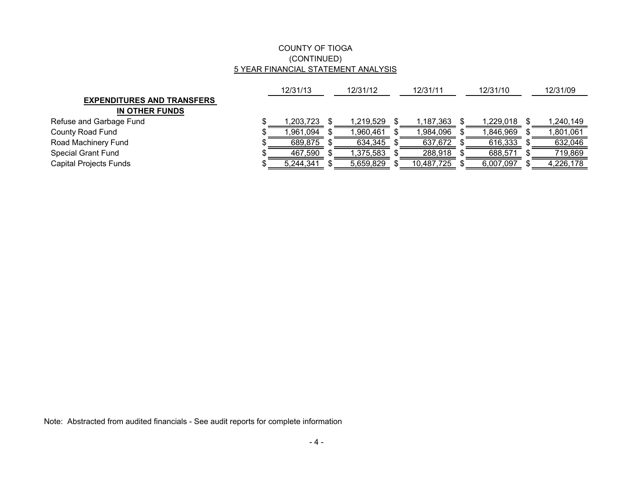# COUNTY OF TIOGA (CONTINUED) 5 YEAR FINANCIAL STATEMENT ANALYSIS

|                                   | 12/31/13  | 12/31/12 | 12/31/11  |  | 12/31/10   | 12/31/09  |           |
|-----------------------------------|-----------|----------|-----------|--|------------|-----------|-----------|
| <b>EXPENDITURES AND TRANSFERS</b> |           |          |           |  |            |           |           |
| IN OTHER FUNDS                    |           |          |           |  |            |           |           |
| Refuse and Garbage Fund           | 1,203,723 |          | 1.219.529 |  | 1,187,363  | 1.229.018 | 1,240,149 |
| County Road Fund                  | 961,094   |          | ,960,461  |  | 1,984,096  | ,846,969  | ,801,061  |
| Road Machinery Fund               | 689,875   |          | 634,345   |  | 637,672    | 616,333   | 632,046   |
| Special Grant Fund                | 467,590   |          | 1,375,583 |  | 288,918    | 688,571   | 719,869   |
| Capital Projects Funds            | 5,244,341 |          | 5,659,829 |  | 10,487,725 | 6,007,097 | 4,226,178 |

Note: Abstracted from audited financials - See audit reports for complete information